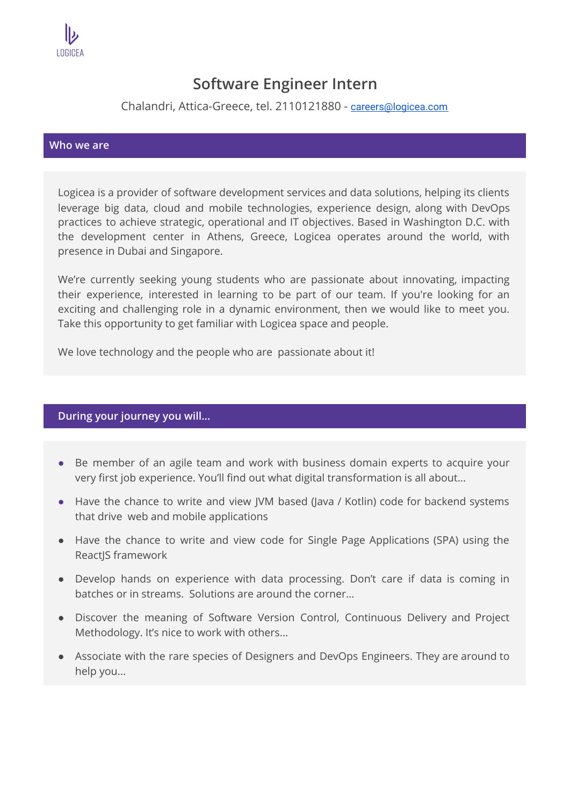

## **Software Engineer Intern**

Chalandri, Attica-Greece, tel. 2110121880 - [careers@logicea.com](mailto:careers@logicea.com)

## **Who we are**

Logicea is a provider of software development services and data solutions, helping its clients leverage big data, cloud and mobile technologies, experience design, along with DevOps practices to achieve strategic, operational and IT objectives. Based in Washington D.C. with the development center in Athens, Greece, Logicea operates around the world, with presence in Dubai and Singapore.

We're currently seeking young students who are passionate about innovating, impacting their experience, interested in learning το be part of our team. If you're looking for an exciting and challenging role in a dynamic environment, then we would like to meet you. Take this opportunity to get familiar with Logicea space and people.

We love technology and the people who are passionate about it!

## **During your journey you will...**

- Be member of an agile team and work with business domain experts to acquire your very first job experience. You'll find out what digital transformation is all about...
- Have the chance to write and view JVM based (Java / Kotlin) code for backend systems that drive web and mobile applications
- Have the chance to write and view code for Single Page Applications (SPA) using the ReactJS framework
- Develop hands on experience with data processing. Don't care if data is coming in batches or in streams. Solutions are around the corner...
- Discover the meaning of Software Version Control, Continuous Delivery and Project Methodology. It's nice to work with others...
- Associate with the rare species of Designers and DevOps Engineers. They are around to help you...